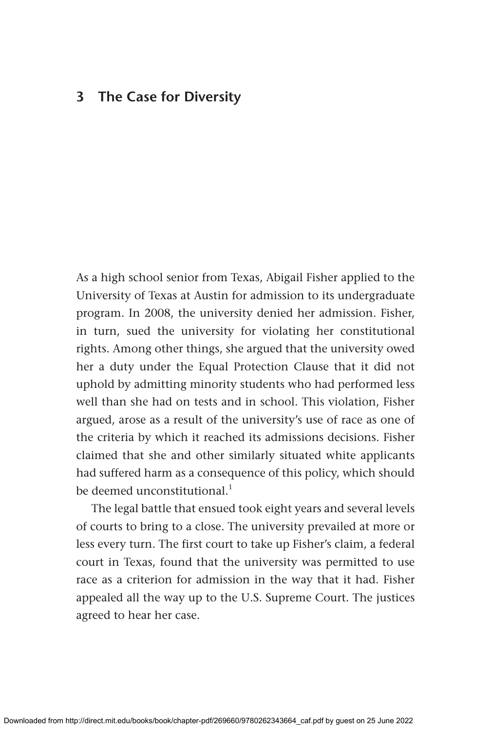## **3 The Case for Diversity**

As a high school senior from Texas, Abigail Fisher applied to the University of Texas at Austin for admission to its undergraduate program. In 2008, the university denied her admission. Fisher, in turn, sued the university for violating her constitutional rights. Among other things, she argued that the university owed her a duty under the Equal Protection Clause that it did not uphold by admitting minority students who had performed less well than she had on tests and in school. This violation, Fisher argued, arose as a result of the university's use of race as one of the criteria by which it reached its admissions decisions. Fisher claimed that she and other similarly situated white applicants had suffered harm as a consequence of this policy, which should be deemed unconstitutional. $<sup>1</sup>$ </sup>

The legal battle that ensued took eight years and several levels of courts to bring to a close. The university prevailed at more or less every turn. The first court to take up Fisher's claim, a federal court in Texas, found that the university was permitted to use race as a criterion for admission in the way that it had. Fisher appealed all the way up to the U.S. Supreme Court. The justices agreed to hear her case.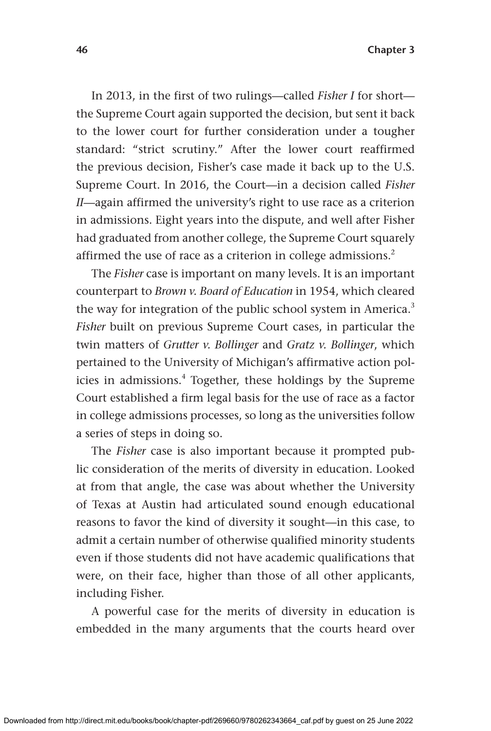In 2013, in the first of two rulings—called *Fisher I* for short the Supreme Court again supported the decision, but sent it back to the lower court for further consideration under a tougher standard: "strict scrutiny." After the lower court reaffirmed the previous decision, Fisher's case made it back up to the U.S. Supreme Court. In 2016, the Court—in a decision called *Fisher II*—again affirmed the university's right to use race as a criterion in admissions. Eight years into the dispute, and well after Fisher had graduated from another college, the Supreme Court squarely affirmed the use of race as a criterion in college admissions.<sup>2</sup>

The *Fisher* case is important on many levels. It is an important counterpart to *Brown v. Board of Education* in 1954, which cleared the way for integration of the public school system in America.<sup>3</sup> *Fisher* built on previous Supreme Court cases, in particular the twin matters of *Grutter v. Bollinger* and *Gratz v. Bollinger*, which pertained to the University of Michigan's affirmative action policies in admissions.<sup>4</sup> Together, these holdings by the Supreme Court established a firm legal basis for the use of race as a factor in college admissions processes, so long as the universities follow a series of steps in doing so.

The *Fisher* case is also important because it prompted public consideration of the merits of diversity in education. Looked at from that angle, the case was about whether the University of Texas at Austin had articulated sound enough educational reasons to favor the kind of diversity it sought—in this case, to admit a certain number of otherwise qualified minority students even if those students did not have academic qualifications that were, on their face, higher than those of all other applicants, including Fisher.

A powerful case for the merits of diversity in education is embedded in the many arguments that the courts heard over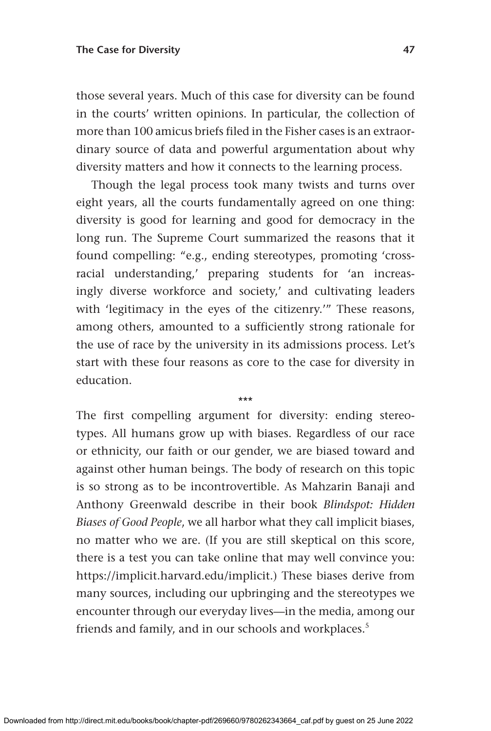those several years. Much of this case for diversity can be found in the courts' written opinions. In particular, the collection of more than 100 amicus briefs filed in the Fisher cases is an extraordinary source of data and powerful argumentation about why diversity matters and how it connects to the learning process.

Though the legal process took many twists and turns over eight years, all the courts fundamentally agreed on one thing: diversity is good for learning and good for democracy in the long run. The Supreme Court summarized the reasons that it found compelling: "e.g., ending stereotypes, promoting 'crossracial understanding,' preparing students for 'an increasingly diverse workforce and society,' and cultivating leaders with 'legitimacy in the eyes of the citizenry.'" These reasons, among others, amounted to a sufficiently strong rationale for the use of race by the university in its admissions process. Let's start with these four reasons as core to the case for diversity in education.

\*\*\*

The first compelling argument for diversity: ending stereotypes. All humans grow up with biases. Regardless of our race or ethnicity, our faith or our gender, we are biased toward and against other human beings. The body of research on this topic is so strong as to be incontrovertible. As Mahzarin Banaji and Anthony Greenwald describe in their book *Blindspot: Hidden Biases of Good People*, we all harbor what they call implicit biases, no matter who we are. (If you are still skeptical on this score, there is a test you can take online that may well convince you: [https://implicit.harvard.edu/implicit.](https://implicit.harvard.edu/implicit)) These biases derive from many sources, including our upbringing and the stereotypes we encounter through our everyday lives—in the media, among our friends and family, and in our schools and workplaces.<sup>5</sup>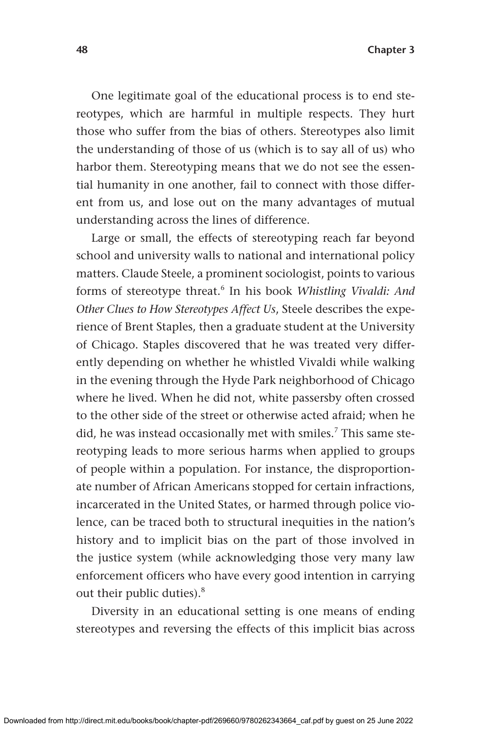One legitimate goal of the educational process is to end stereotypes, which are harmful in multiple respects. They hurt those who suffer from the bias of others. Stereotypes also limit the understanding of those of us (which is to say all of us) who harbor them. Stereotyping means that we do not see the essential humanity in one another, fail to connect with those different from us, and lose out on the many advantages of mutual understanding across the lines of difference.

Large or small, the effects of stereotyping reach far beyond school and university walls to national and international policy matters. Claude Steele, a prominent sociologist, points to various forms of stereotype threat.<sup>6</sup> In his book *Whistling Vivaldi: And Other Clues to How Stereotypes Affect Us*, Steele describes the experience of Brent Staples, then a graduate student at the University of Chicago. Staples discovered that he was treated very differently depending on whether he whistled Vivaldi while walking in the evening through the Hyde Park neighborhood of Chicago where he lived. When he did not, white passersby often crossed to the other side of the street or otherwise acted afraid; when he did, he was instead occasionally met with smiles.<sup>7</sup> This same stereotyping leads to more serious harms when applied to groups of people within a population. For instance, the disproportionate number of African Americans stopped for certain infractions, incarcerated in the United States, or harmed through police violence, can be traced both to structural inequities in the nation's history and to implicit bias on the part of those involved in the justice system (while acknowledging those very many law enforcement officers who have every good intention in carrying out their public duties).8

Diversity in an educational setting is one means of ending stereotypes and reversing the effects of this implicit bias across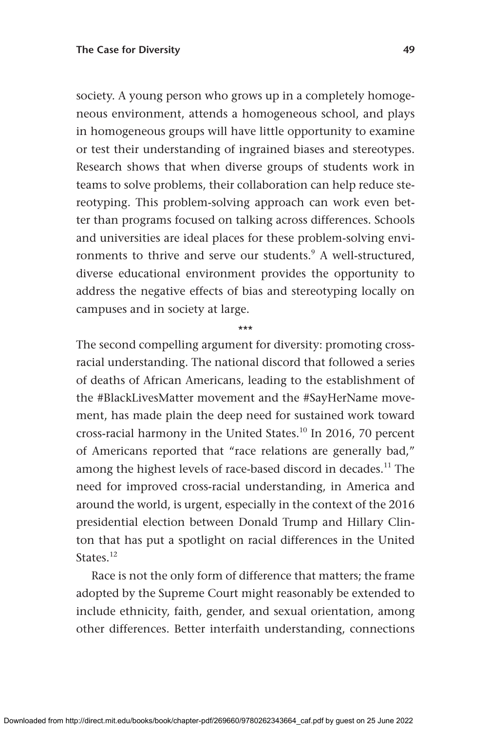society. A young person who grows up in a completely homogeneous environment, attends a homogeneous school, and plays in homogeneous groups will have little opportunity to examine or test their understanding of ingrained biases and stereotypes. Research shows that when diverse groups of students work in teams to solve problems, their collaboration can help reduce stereotyping. This problem-solving approach can work even better than programs focused on talking across differences. Schools and universities are ideal places for these problem-solving environments to thrive and serve our students.<sup>9</sup> A well-structured, diverse educational environment provides the opportunity to address the negative effects of bias and stereotyping locally on campuses and in society at large.

\*\*\*

The second compelling argument for diversity: promoting crossracial understanding. The national discord that followed a series of deaths of African Americans, leading to the establishment of the #BlackLivesMatter movement and the #SayHerName movement, has made plain the deep need for sustained work toward cross-racial harmony in the United States.10 In 2016, 70 percent of Americans reported that "race relations are generally bad," among the highest levels of race-based discord in decades.<sup>11</sup> The need for improved cross-racial understanding, in America and around the world, is urgent, especially in the context of the 2016 presidential election between Donald Trump and Hillary Clinton that has put a spotlight on racial differences in the United States.<sup>12</sup>

Race is not the only form of difference that matters; the frame adopted by the Supreme Court might reasonably be extended to include ethnicity, faith, gender, and sexual orientation, among other differences. Better interfaith understanding, connections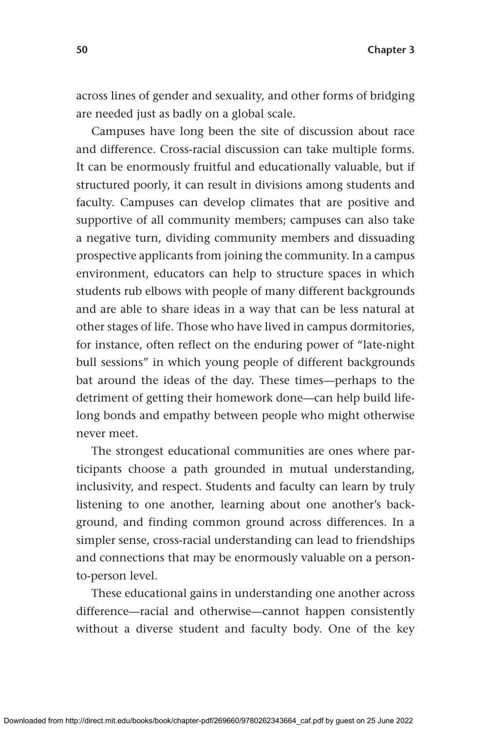**50 Chapter 3**

across lines of gender and sexuality, and other forms of bridging are needed just as badly on a global scale.

Campuses have long been the site of discussion about race and difference. Cross-racial discussion can take multiple forms. It can be enormously fruitful and educationally valuable, but if structured poorly, it can result in divisions among students and faculty. Campuses can develop climates that are positive and supportive of all community members; campuses can also take a negative turn, dividing community members and dissuading prospective applicants from joining the community. In a campus environment, educators can help to structure spaces in which students rub elbows with people of many different backgrounds and are able to share ideas in a way that can be less natural at other stages of life. Those who have lived in campus dormitories, for instance, often reflect on the enduring power of "late-night bull sessions" in which young people of different backgrounds bat around the ideas of the day. These times—perhaps to the detriment of getting their homework done—can help build lifelong bonds and empathy between people who might otherwise never meet.

The strongest educational communities are ones where participants choose a path grounded in mutual understanding, inclusivity, and respect. Students and faculty can learn by truly listening to one another, learning about one another's background, and finding common ground across differences. In a simpler sense, cross-racial understanding can lead to friendships and connections that may be enormously valuable on a personto-person level.

These educational gains in understanding one another across difference—racial and otherwise—cannot happen consistently without a diverse student and faculty body. One of the key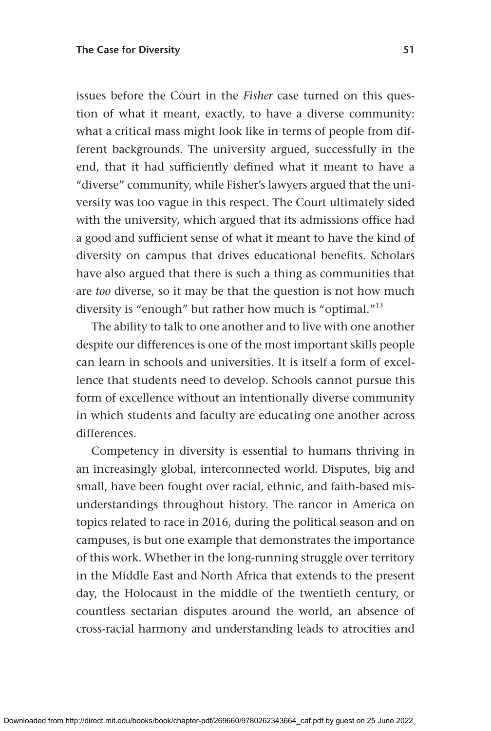issues before the Court in the *Fisher* case turned on this question of what it meant, exactly, to have a diverse community: what a critical mass might look like in terms of people from different backgrounds. The university argued, successfully in the end, that it had sufficiently defined what it meant to have a "diverse" community, while Fisher's lawyers argued that the university was too vague in this respect. The Court ultimately sided with the university, which argued that its admissions office had a good and sufficient sense of what it meant to have the kind of diversity on campus that drives educational benefits. Scholars have also argued that there is such a thing as communities that are *too* diverse, so it may be that the question is not how much diversity is "enough" but rather how much is "optimal."13

The ability to talk to one another and to live with one another despite our differences is one of the most important skills people can learn in schools and universities. It is itself a form of excellence that students need to develop. Schools cannot pursue this form of excellence without an intentionally diverse community in which students and faculty are educating one another across differences.

Competency in diversity is essential to humans thriving in an increasingly global, interconnected world. Disputes, big and small, have been fought over racial, ethnic, and faith-based misunderstandings throughout history. The rancor in America on topics related to race in 2016, during the political season and on campuses, is but one example that demonstrates the importance of this work. Whether in the long-running struggle over territory in the Middle East and North Africa that extends to the present day, the Holocaust in the middle of the twentieth century, or countless sectarian disputes around the world, an absence of cross-racial harmony and understanding leads to atrocities and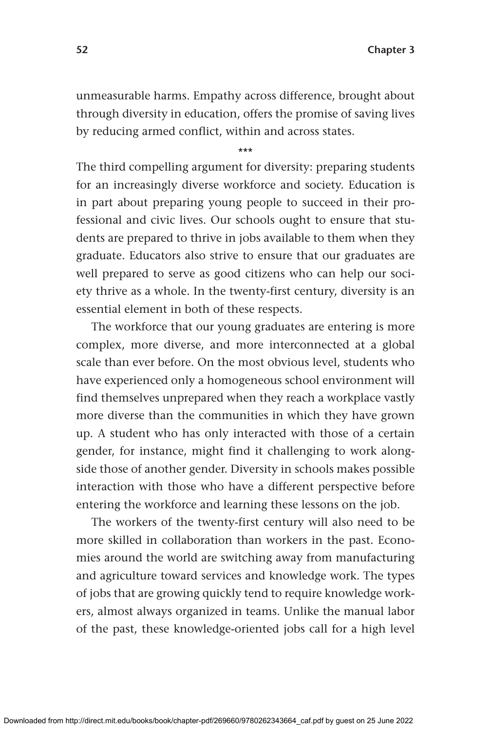unmeasurable harms. Empathy across difference, brought about through diversity in education, offers the promise of saving lives by reducing armed conflict, within and across states.

\*\*\*

The third compelling argument for diversity: preparing students for an increasingly diverse workforce and society. Education is in part about preparing young people to succeed in their professional and civic lives. Our schools ought to ensure that students are prepared to thrive in jobs available to them when they graduate. Educators also strive to ensure that our graduates are well prepared to serve as good citizens who can help our society thrive as a whole. In the twenty-first century, diversity is an essential element in both of these respects.

The workforce that our young graduates are entering is more complex, more diverse, and more interconnected at a global scale than ever before. On the most obvious level, students who have experienced only a homogeneous school environment will find themselves unprepared when they reach a workplace vastly more diverse than the communities in which they have grown up. A student who has only interacted with those of a certain gender, for instance, might find it challenging to work alongside those of another gender. Diversity in schools makes possible interaction with those who have a different perspective before entering the workforce and learning these lessons on the job.

The workers of the twenty-first century will also need to be more skilled in collaboration than workers in the past. Economies around the world are switching away from manufacturing and agriculture toward services and knowledge work. The types of jobs that are growing quickly tend to require knowledge workers, almost always organized in teams. Unlike the manual labor of the past, these knowledge-oriented jobs call for a high level

Downloaded from http://direct.mit.edu/books/book/chapter-pdf/269660/9780262343664\_caf.pdf by guest on 25 June 2022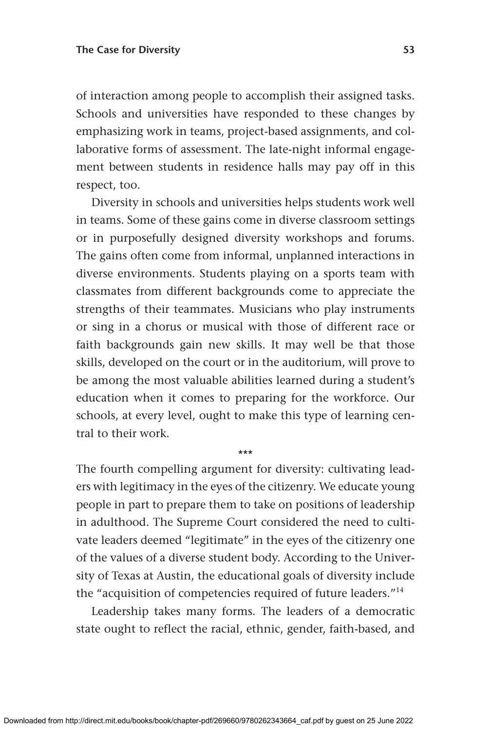of interaction among people to accomplish their assigned tasks. Schools and universities have responded to these changes by emphasizing work in teams, project-based assignments, and collaborative forms of assessment. The late-night informal engagement between students in residence halls may pay off in this respect, too.

Diversity in schools and universities helps students work well in teams. Some of these gains come in diverse classroom settings or in purposefully designed diversity workshops and forums. The gains often come from informal, unplanned interactions in diverse environments. Students playing on a sports team with classmates from different backgrounds come to appreciate the strengths of their teammates. Musicians who play instruments or sing in a chorus or musical with those of different race or faith backgrounds gain new skills. It may well be that those skills, developed on the court or in the auditorium, will prove to be among the most valuable abilities learned during a student's education when it comes to preparing for the workforce. Our schools, at every level, ought to make this type of learning central to their work.

The fourth compelling argument for diversity: cultivating leaders with legitimacy in the eyes of the citizenry. We educate young people in part to prepare them to take on positions of leadership in adulthood. The Supreme Court considered the need to cultivate leaders deemed "legitimate" in the eyes of the citizenry one of the values of a diverse student body. According to the University of Texas at Austin, the educational goals of diversity include the "acquisition of competencies required of future leaders."<sup>14</sup>

\*\*\*

Leadership takes many forms. The leaders of a democratic state ought to reflect the racial, ethnic, gender, faith-based, and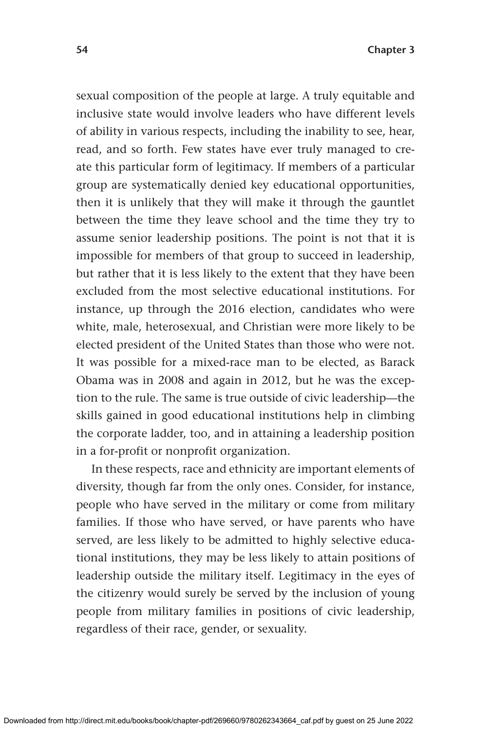sexual composition of the people at large. A truly equitable and inclusive state would involve leaders who have different levels of ability in various respects, including the inability to see, hear, read, and so forth. Few states have ever truly managed to create this particular form of legitimacy. If members of a particular group are systematically denied key educational opportunities, then it is unlikely that they will make it through the gauntlet between the time they leave school and the time they try to assume senior leadership positions. The point is not that it is impossible for members of that group to succeed in leadership, but rather that it is less likely to the extent that they have been excluded from the most selective educational institutions. For instance, up through the 2016 election, candidates who were white, male, heterosexual, and Christian were more likely to be elected president of the United States than those who were not. It was possible for a mixed-race man to be elected, as Barack Obama was in 2008 and again in 2012, but he was the exception to the rule. The same is true outside of civic leadership—the skills gained in good educational institutions help in climbing the corporate ladder, too, and in attaining a leadership position in a for-profit or nonprofit organization.

In these respects, race and ethnicity are important elements of diversity, though far from the only ones. Consider, for instance, people who have served in the military or come from military families. If those who have served, or have parents who have served, are less likely to be admitted to highly selective educational institutions, they may be less likely to attain positions of leadership outside the military itself. Legitimacy in the eyes of the citizenry would surely be served by the inclusion of young people from military families in positions of civic leadership, regardless of their race, gender, or sexuality.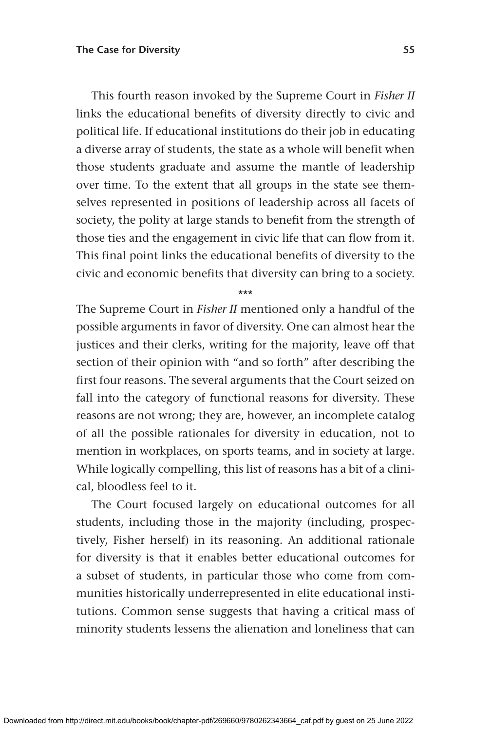This fourth reason invoked by the Supreme Court in *Fisher II* links the educational benefits of diversity directly to civic and political life. If educational institutions do their job in educating a diverse array of students, the state as a whole will benefit when those students graduate and assume the mantle of leadership over time. To the extent that all groups in the state see themselves represented in positions of leadership across all facets of society, the polity at large stands to benefit from the strength of those ties and the engagement in civic life that can flow from it. This final point links the educational benefits of diversity to the civic and economic benefits that diversity can bring to a society.

\*\*\*

The Supreme Court in *Fisher II* mentioned only a handful of the possible arguments in favor of diversity. One can almost hear the justices and their clerks, writing for the majority, leave off that section of their opinion with "and so forth" after describing the first four reasons. The several arguments that the Court seized on fall into the category of functional reasons for diversity. These reasons are not wrong; they are, however, an incomplete catalog of all the possible rationales for diversity in education, not to mention in workplaces, on sports teams, and in society at large. While logically compelling, this list of reasons has a bit of a clinical, bloodless feel to it.

The Court focused largely on educational outcomes for all students, including those in the majority (including, prospectively, Fisher herself) in its reasoning. An additional rationale for diversity is that it enables better educational outcomes for a subset of students, in particular those who come from communities historically underrepresented in elite educational institutions. Common sense suggests that having a critical mass of minority students lessens the alienation and loneliness that can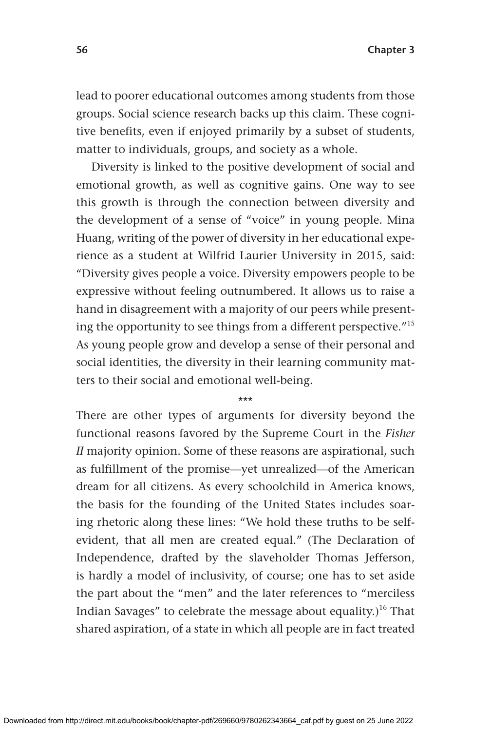lead to poorer educational outcomes among students from those groups. Social science research backs up this claim. These cognitive benefits, even if enjoyed primarily by a subset of students, matter to individuals, groups, and society as a whole.

Diversity is linked to the positive development of social and emotional growth, as well as cognitive gains. One way to see this growth is through the connection between diversity and the development of a sense of "voice" in young people. Mina Huang, writing of the power of diversity in her educational experience as a student at Wilfrid Laurier University in 2015, said: "Diversity gives people a voice. Diversity empowers people to be expressive without feeling outnumbered. It allows us to raise a hand in disagreement with a majority of our peers while presenting the opportunity to see things from a different perspective."15 As young people grow and develop a sense of their personal and social identities, the diversity in their learning community matters to their social and emotional well-being.

\*\*\*

There are other types of arguments for diversity beyond the functional reasons favored by the Supreme Court in the *Fisher II* majority opinion. Some of these reasons are aspirational, such as fulfillment of the promise—yet unrealized—of the American dream for all citizens. As every schoolchild in America knows, the basis for the founding of the United States includes soaring rhetoric along these lines: "We hold these truths to be selfevident, that all men are created equal." (The Declaration of Independence, drafted by the slaveholder Thomas Jefferson, is hardly a model of inclusivity, of course; one has to set aside the part about the "men" and the later references to "merciless Indian Savages" to celebrate the message about equality.)<sup>16</sup> That shared aspiration, of a state in which all people are in fact treated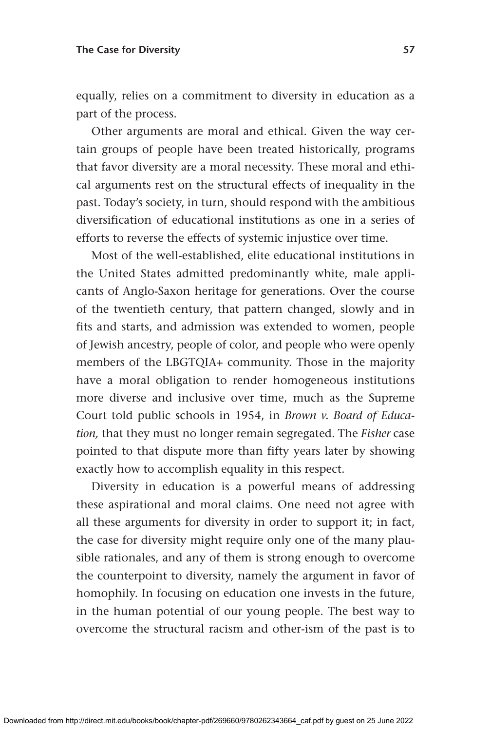equally, relies on a commitment to diversity in education as a part of the process.

Other arguments are moral and ethical. Given the way certain groups of people have been treated historically, programs that favor diversity are a moral necessity. These moral and ethical arguments rest on the structural effects of inequality in the past. Today's society, in turn, should respond with the ambitious diversification of educational institutions as one in a series of efforts to reverse the effects of systemic injustice over time.

Most of the well-established, elite educational institutions in the United States admitted predominantly white, male applicants of Anglo-Saxon heritage for generations. Over the course of the twentieth century, that pattern changed, slowly and in fits and starts, and admission was extended to women, people of Jewish ancestry, people of color, and people who were openly members of the LBGTQIA+ community. Those in the majority have a moral obligation to render homogeneous institutions more diverse and inclusive over time, much as the Supreme Court told public schools in 1954, in *Brown v. Board of Education,* that they must no longer remain segregated. The *Fisher* case pointed to that dispute more than fifty years later by showing exactly how to accomplish equality in this respect.

Diversity in education is a powerful means of addressing these aspirational and moral claims. One need not agree with all these arguments for diversity in order to support it; in fact, the case for diversity might require only one of the many plausible rationales, and any of them is strong enough to overcome the counterpoint to diversity, namely the argument in favor of homophily. In focusing on education one invests in the future, in the human potential of our young people. The best way to overcome the structural racism and other-ism of the past is to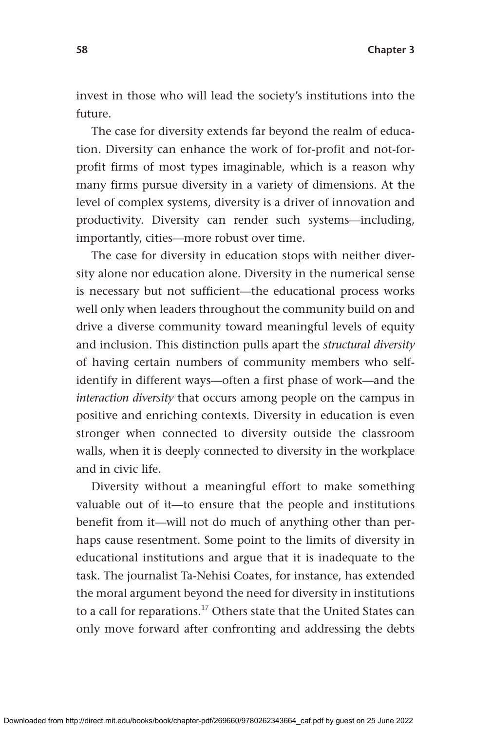invest in those who will lead the society's institutions into the future.

The case for diversity extends far beyond the realm of education. Diversity can enhance the work of for-profit and not-forprofit firms of most types imaginable, which is a reason why many firms pursue diversity in a variety of dimensions. At the level of complex systems, diversity is a driver of innovation and productivity. Diversity can render such systems—including, importantly, cities—more robust over time.

The case for diversity in education stops with neither diversity alone nor education alone. Diversity in the numerical sense is necessary but not sufficient—the educational process works well only when leaders throughout the community build on and drive a diverse community toward meaningful levels of equity and inclusion. This distinction pulls apart the *structural diversity* of having certain numbers of community members who selfidentify in different ways—often a first phase of work—and the *interaction diversity* that occurs among people on the campus in positive and enriching contexts. Diversity in education is even stronger when connected to diversity outside the classroom walls, when it is deeply connected to diversity in the workplace and in civic life.

Diversity without a meaningful effort to make something valuable out of it—to ensure that the people and institutions benefit from it—will not do much of anything other than perhaps cause resentment. Some point to the limits of diversity in educational institutions and argue that it is inadequate to the task. The journalist Ta-Nehisi Coates, for instance, has extended the moral argument beyond the need for diversity in institutions to a call for reparations.<sup>17</sup> Others state that the United States can only move forward after confronting and addressing the debts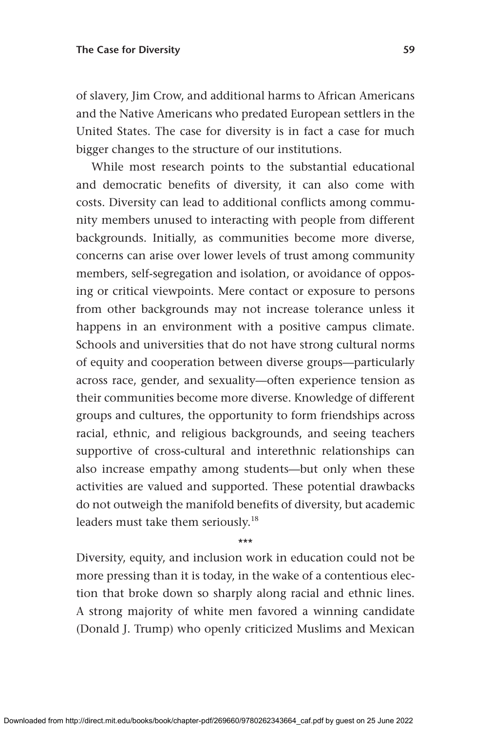of slavery, Jim Crow, and additional harms to African Americans and the Native Americans who predated European settlers in the United States. The case for diversity is in fact a case for much bigger changes to the structure of our institutions.

While most research points to the substantial educational and democratic benefits of diversity, it can also come with costs. Diversity can lead to additional conflicts among community members unused to interacting with people from different backgrounds. Initially, as communities become more diverse, concerns can arise over lower levels of trust among community members, self-segregation and isolation, or avoidance of opposing or critical viewpoints. Mere contact or exposure to persons from other backgrounds may not increase tolerance unless it happens in an environment with a positive campus climate. Schools and universities that do not have strong cultural norms of equity and cooperation between diverse groups—particularly across race, gender, and sexuality—often experience tension as their communities become more diverse. Knowledge of different groups and cultures, the opportunity to form friendships across racial, ethnic, and religious backgrounds, and seeing teachers supportive of cross-cultural and interethnic relationships can also increase empathy among students—but only when these activities are valued and supported. These potential drawbacks do not outweigh the manifold benefits of diversity, but academic leaders must take them seriously.<sup>18</sup>

Diversity, equity, and inclusion work in education could not be more pressing than it is today, in the wake of a contentious election that broke down so sharply along racial and ethnic lines. A strong majority of white men favored a winning candidate (Donald J. Trump) who openly criticized Muslims and Mexican

\*\*\*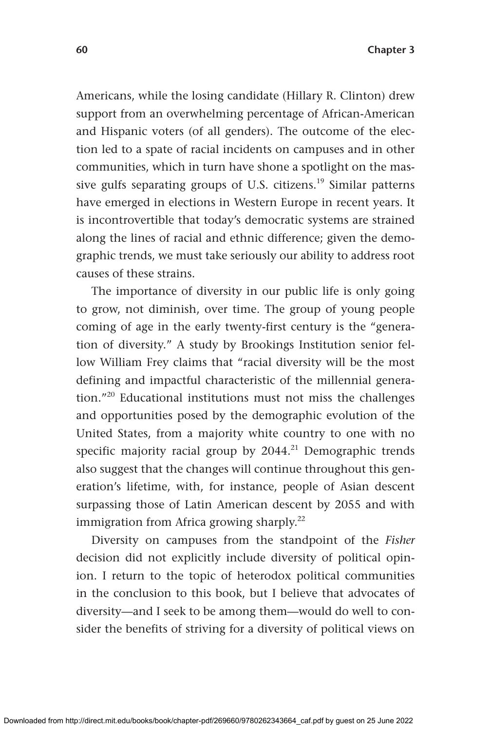Americans, while the losing candidate (Hillary R. Clinton) drew support from an overwhelming percentage of African-American and Hispanic voters (of all genders). The outcome of the election led to a spate of racial incidents on campuses and in other communities, which in turn have shone a spotlight on the massive gulfs separating groups of U.S. citizens.<sup>19</sup> Similar patterns have emerged in elections in Western Europe in recent years. It is incontrovertible that today's democratic systems are strained along the lines of racial and ethnic difference; given the demographic trends, we must take seriously our ability to address root causes of these strains.

The importance of diversity in our public life is only going to grow, not diminish, over time. The group of young people coming of age in the early twenty-first century is the "generation of diversity." A study by Brookings Institution senior fellow William Frey claims that "racial diversity will be the most defining and impactful characteristic of the millennial generation."20 Educational institutions must not miss the challenges and opportunities posed by the demographic evolution of the United States, from a majority white country to one with no specific majority racial group by  $2044$ <sup>21</sup> Demographic trends also suggest that the changes will continue throughout this generation's lifetime, with, for instance, people of Asian descent surpassing those of Latin American descent by 2055 and with immigration from Africa growing sharply. $^{22}$ 

Diversity on campuses from the standpoint of the *Fisher* decision did not explicitly include diversity of political opinion. I return to the topic of heterodox political communities in the conclusion to this book, but I believe that advocates of diversity—and I seek to be among them—would do well to consider the benefits of striving for a diversity of political views on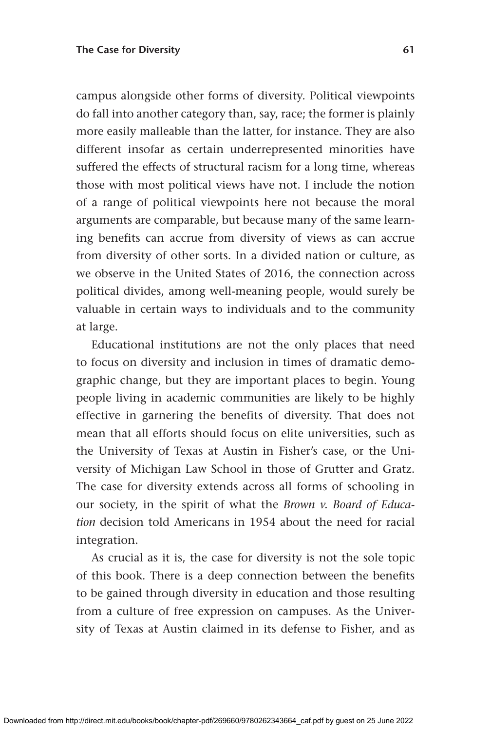campus alongside other forms of diversity. Political viewpoints do fall into another category than, say, race; the former is plainly more easily malleable than the latter, for instance. They are also different insofar as certain underrepresented minorities have suffered the effects of structural racism for a long time, whereas those with most political views have not. I include the notion of a range of political viewpoints here not because the moral arguments are comparable, but because many of the same learning benefits can accrue from diversity of views as can accrue from diversity of other sorts. In a divided nation or culture, as we observe in the United States of 2016, the connection across political divides, among well-meaning people, would surely be valuable in certain ways to individuals and to the community at large.

Educational institutions are not the only places that need to focus on diversity and inclusion in times of dramatic demographic change, but they are important places to begin. Young people living in academic communities are likely to be highly effective in garnering the benefits of diversity. That does not mean that all efforts should focus on elite universities, such as the University of Texas at Austin in Fisher's case, or the University of Michigan Law School in those of Grutter and Gratz. The case for diversity extends across all forms of schooling in our society, in the spirit of what the *Brown v. Board of Education* decision told Americans in 1954 about the need for racial integration.

As crucial as it is, the case for diversity is not the sole topic of this book. There is a deep connection between the benefits to be gained through diversity in education and those resulting from a culture of free expression on campuses. As the University of Texas at Austin claimed in its defense to Fisher, and as